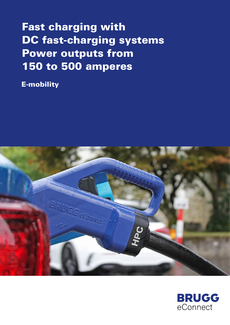# Fast charging with DC fast-charging systems Power outputs from 150 to 500 amperes

E-mobility